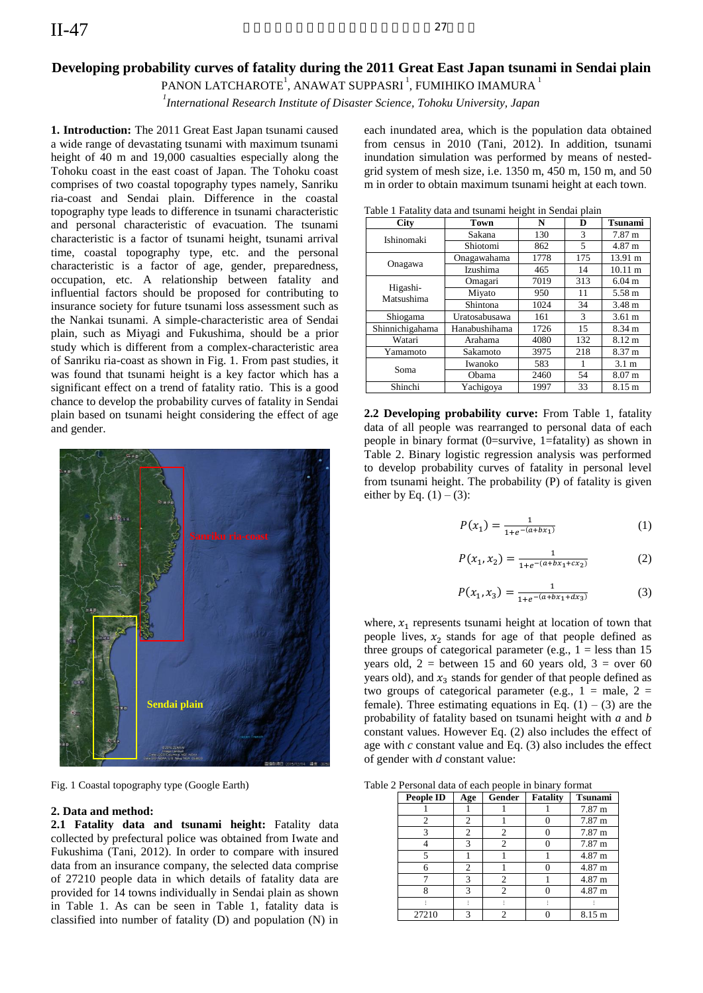# **Developing probability curves of fatality during the 2011 Great East Japan tsunami in Sendai plain**

PANON LATCHAROTE $^{\rm l}$ , ANAWAT SUPPASRI $^{\rm l}$ , FUMIHIKO IMAMURA  $^{\rm l}$ 

*1 International Research Institute of Disaster Science, Tohoku University, Japan* 

**1. Introduction:** The 2011 Great East Japan tsunami caused a wide range of devastating tsunami with maximum tsunami height of 40 m and 19,000 casualties especially along the Tohoku coast in the east coast of Japan. The Tohoku coast comprises of two coastal topography types namely, Sanriku ria-coast and Sendai plain. Difference in the coastal topography type leads to difference in tsunami characteristic and personal characteristic of evacuation. The tsunami characteristic is a factor of tsunami height, tsunami arrival time, coastal topography type, etc. and the personal characteristic is a factor of age, gender, preparedness, occupation, etc. A relationship between fatality and influential factors should be proposed for contributing to insurance society for future tsunami loss assessment such as the Nankai tsunami. A simple-characteristic area of Sendai plain, such as Miyagi and Fukushima, should be a prior study which is different from a complex-characteristic area of Sanriku ria-coast as shown in Fig. 1. From past studies, it was found that tsunami height is a key factor which has a significant effect on a trend of fatality ratio. This is a good chance to develop the probability curves of fatality in Sendai plain based on tsunami height considering the effect of age and gender.



Fig. 1 Coastal topography type (Google Earth)

### **2. Data and method:**

**2.1 Fatality data and tsunami height:** Fatality data collected by prefectural police was obtained from Iwate and Fukushima (Tani, 2012). In order to compare with insured data from an insurance company, the selected data comprise of 27210 people data in which details of fatality data are provided for 14 towns individually in Sendai plain as shown in Table 1. As can be seen in Table 1, fatality data is classified into number of fatality (D) and population (N) in

each inundated area, which is the population data obtained from census in 2010 (Tani, 2012). In addition, tsunami inundation simulation was performed by means of nestedgrid system of mesh size, i.e. 1350 m, 450 m, 150 m, and 50 m in order to obtain maximum tsunami height at each town.

Table 1 Fatality data and tsunami height in Sendai plain

| <b>City</b>            | <b>Town</b>   | N    | D   | <b>Tsunami</b>    |  |  |
|------------------------|---------------|------|-----|-------------------|--|--|
|                        | Sakana        | 130  | 3   | $7.87 \text{ m}$  |  |  |
| Ishinomaki             | Shiotomi      | 862  | 5   | 4.87 m            |  |  |
| Onagawa                | Onagawahama   | 1778 | 175 | 13.91 m           |  |  |
|                        | Izushima      | 465  | 14  | $10.11 \text{ m}$ |  |  |
| Higashi-<br>Matsushima | Omagari       | 7019 | 313 | $6.04$ m          |  |  |
|                        | Miyato        | 950  | 11  | 5.58 m            |  |  |
|                        | Shintona      | 1024 | 34  | 3.48 m            |  |  |
| Shiogama               | Uratosabusawa | 161  | 3   | $3.61 \text{ m}$  |  |  |
| Shinnichigahama        | Hanabushihama | 1726 | 15  | 8.34 m            |  |  |
| Watari                 | Arahama       | 4080 | 132 | $8.12 \text{ m}$  |  |  |
| Yamamoto               | Sakamoto      | 3975 | 218 | 8.37 m            |  |  |
| Soma                   | Iwanoko       | 583  |     | 3.1 <sub>m</sub>  |  |  |
|                        | Obama         | 2460 | 54  | 8.07 m            |  |  |
| Shinchi                | Yachigoya     | 1997 | 33  | $8.15 \text{ m}$  |  |  |

**2.2 Developing probability curve:** From Table 1, fatality data of all people was rearranged to personal data of each people in binary format (0=survive, 1=fatality) as shown in Table 2. Binary logistic regression analysis was performed to develop probability curves of fatality in personal level from tsunami height. The probability (P) of fatality is given either by Eq.  $(1) - (3)$ :

$$
P(x_1) = \frac{1}{1 + e^{-(a + bx_1)}}\tag{1}
$$

$$
P(x_1, x_2) = \frac{1}{1 + e^{-(a + bx_1 + cx_2)}}\tag{2}
$$

$$
P(x_1, x_3) = \frac{1}{1 + e^{-(a + bx_1 + dx_3)}}\tag{3}
$$

where,  $x_1$  represents tsunami height at location of town that people lives,  $x_2$  stands for age of that people defined as three groups of categorical parameter (e.g.,  $1 =$  less than 15 years old,  $2 =$  between 15 and 60 years old,  $3 =$  over 60 years old), and  $x_3$  stands for gender of that people defined as two groups of categorical parameter (e.g.,  $1 =$  male,  $2 =$ female). Three estimating equations in Eq.  $(1) - (3)$  are the probability of fatality based on tsunami height with *a* and *b* constant values. However Eq. (2) also includes the effect of age with *c* constant value and Eq. (3) also includes the effect of gender with *d* constant value:

Table 2 Personal data of each people in binary format

| <b>People ID</b> | Age            | Gender | <b>Fatality</b> | <b>Tsunami</b>   |
|------------------|----------------|--------|-----------------|------------------|
|                  |                |        |                 | 7.87 m           |
| 2                | 2              |        |                 | 7.87 m           |
|                  | 2              |        |                 | $7.87 \text{ m}$ |
|                  | 3              |        |                 | 7.87 m           |
|                  |                |        |                 | 4.87 m           |
| 6                | $\overline{c}$ |        |                 | 4.87 m           |
|                  | 3              |        |                 | 4.87 m           |
| 8                | 3              | 2      |                 | 4.87 m           |
|                  |                |        |                 |                  |
| 27210            | 3              |        |                 | $8.15 \text{ m}$ |